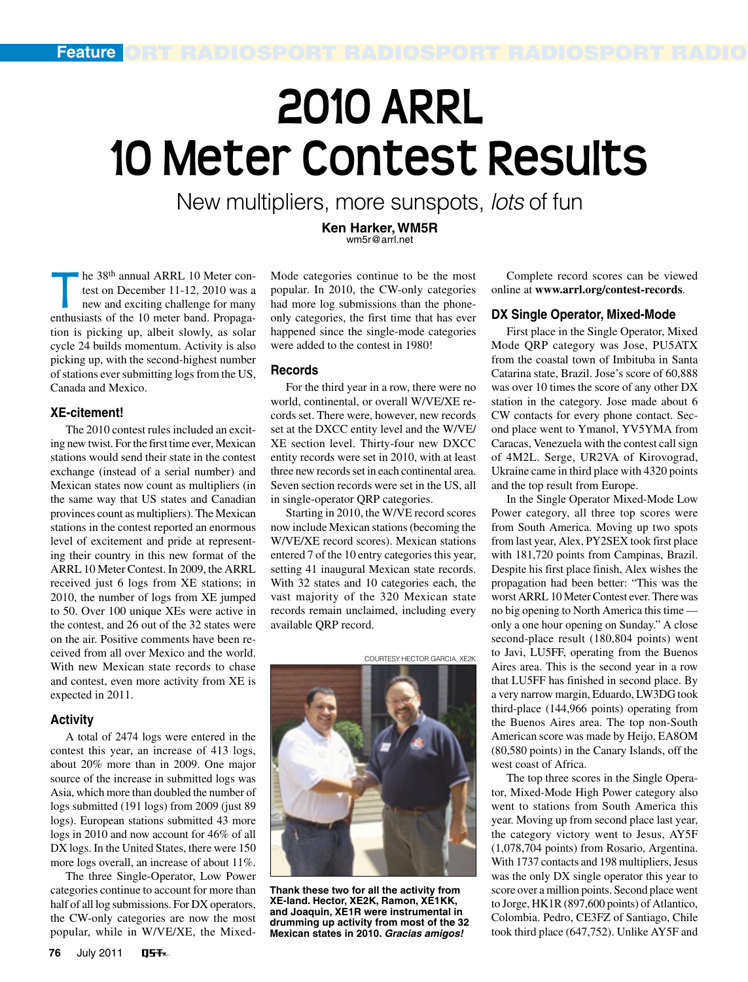# **2010 ARRL 10 Meter Contest Results**

New multipliers, more sunspots, *lots* of fun

**Ken Harker, WM5R** wm5r@arrl.net

he 38<sup>th</sup> annual ARRL 10 Meter contest on December 11-12, 2010 was a new and exciting challenge for many enthusiasts of the 10 meter band. Propagation is picking up, albeit slowly, as solar cycle 24 builds momentum. Activity is also picking up, with the second-highest number of stations ever submitting logs from the US, Canada and Mexico.

#### **XE-citement!**

The 2010 contest rules included an exciting new twist. For the first time ever, Mexican stations would send their state in the contest exchange (instead of a serial number) and Mexican states now count as multipliers (in the same way that US states and Canadian provinces count as multipliers). The Mexican stations in the contest reported an enormous level of excitement and pride at representing their country in this new format of the ARRL 10 Meter Contest. In 2009, the ARRL received just 6 logs from XE stations; in 2010, the number of logs from XE jumped to 50. Over 100 unique XEs were active in the contest, and 26 out of the 32 states were on the air. Positive comments have been received from all over Mexico and the world. With new Mexican state records to chase and contest, even more activity from XE is expected in 2011.

#### **Activity**

A total of 2474 logs were entered in the contest this year, an increase of 413 logs, about 20% more than in 2009. One major source of the increase in submitted logs was Asia, which more than doubled the number of logs submitted (191 logs) from 2009 (just 89 logs). European stations submitted 43 more logs in 2010 and now account for 46% of all DX logs. In the United States, there were 150 more logs overall, an increase of about 11%.

The three Single-Operator, Low Power categories continue to account for more than half of all log submissions. For DX operators, the CW-only categories are now the most popular, while in W/VE/XE, the MixedMode categories continue to be the most popular. In 2010, the CW-only categories had more log submissions than the phoneonly categories, the first time that has ever happened since the single-mode categories were added to the contest in 1980!

#### **Records**

For the third year in a row, there were no world, continental, or overall W/VE/XE records set. There were, however, new records set at the DXCC entity level and the W/VE/ XE section level. Thirty-four new DXCC entity records were set in 2010, with at least three new records set in each continental area. Seven section records were set in the US, all in single-operator QRP categories.

Starting in 2010, the W/VE record scores now include Mexican stations (becoming the W/VE/XE record scores). Mexican stations entered 7 of the 10 entry categories this year, setting 41 inaugural Mexican state records. With 32 states and 10 categories each, the vast majority of the 320 Mexican state records remain unclaimed, including every available QRP record.



**Thank these two for all the activity from XE-land. Hector, XE2K, Ramon, XE1KK, and Joaquin, XE1R were instrumental in drumming up activity from most of the 32 Mexican states in 2010.** *Gracias amigos!*

Complete record scores can be viewed online at **www.arrl.org/contest-records**.

#### **DX Single Operator, Mixed-Mode**

First place in the Single Operator, Mixed Mode QRP category was Jose, PU5ATX from the coastal town of Imbituba in Santa Catarina state, Brazil. Jose's score of 60,888 was over 10 times the score of any other DX station in the category. Jose made about 6 CW contacts for every phone contact. Second place went to Ymanol, YV5YMA from Caracas, Venezuela with the contest call sign of 4M2L. Serge, UR2VA of Kirovograd, Ukraine came in third place with 4320 points and the top result from Europe.

In the Single Operator Mixed-Mode Low Power category, all three top scores were from South America. Moving up two spots from last year, Alex, PY2SEX took first place with 181,720 points from Campinas, Brazil. Despite his first place finish, Alex wishes the propagation had been better: "This was the worst ARRL 10 Meter Contest ever. There was no big opening to North America this time only a one hour opening on Sunday." A close second-place result (180,804 points) went to Javi, LU5FF, operating from the Buenos Aires area. This is the second year in a row that LU5FF has finished in second place. By a very narrow margin, Eduardo, LW3DG took third-place (144,966 points) operating from the Buenos Aires area. The top non-South American score was made by Heijo, EA8OM (80,580 points) in the Canary Islands, off the west coast of Africa.

The top three scores in the Single Operator, Mixed-Mode High Power category also went to stations from South America this year. Moving up from second place last year, the category victory went to Jesus, AY5F (1,078,704 points) from Rosario, Argentina. With 1737 contacts and 198 multipliers, Jesus was the only DX single operator this year to score over a million points. Second place went to Jorge, HK1R (897,600 points) of Atlantico, Colombia. Pedro, CE3FZ of Santiago, Chile took third place (647,752). Unlike AY5F and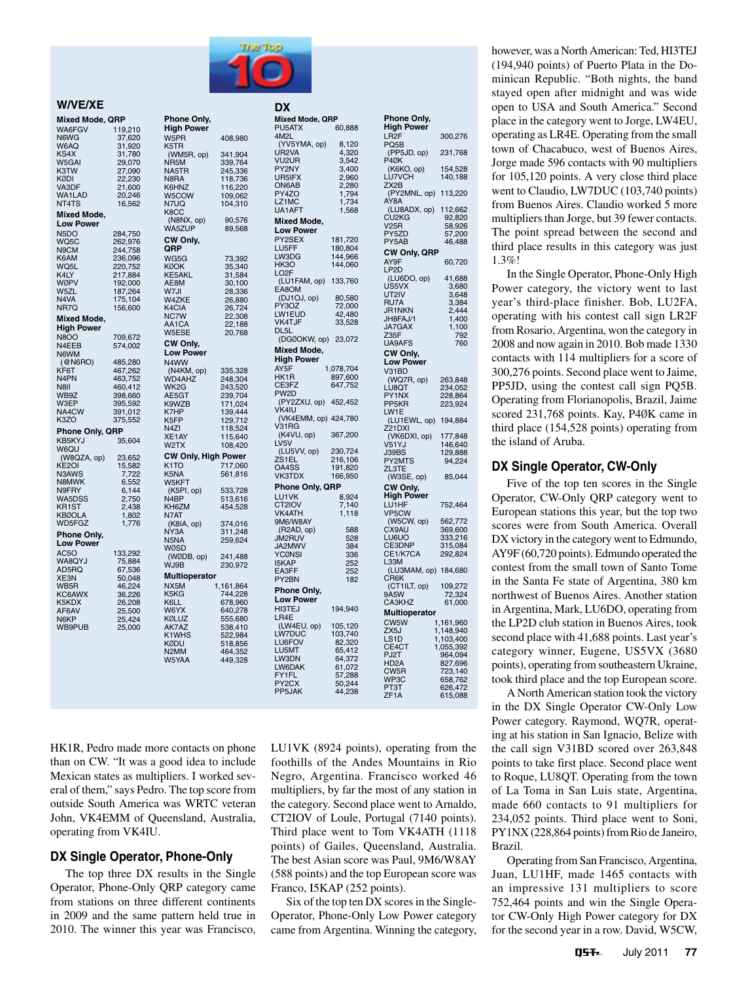

#### **W/VE/XE**

| <b>Mixed Mode, QRP</b> |                  |
|------------------------|------------------|
| WA6FGV                 | 119,210          |
| N6WG                   | 37,620           |
| W6AQ                   | 31,920           |
| KS4X                   | 31,780           |
| W5GAI                  | 29,070           |
| K3TW                   | 27,090           |
| KØDI                   | 22,230           |
| VA3DF                  | 21,600           |
| WA1LAD                 | 20,246           |
| NT4TS                  | 16,562           |
| <b>Mixed Mode,</b>     |                  |
| <b>Low Power</b>       |                  |
| N5DO                   | 284,750          |
| WQ5C                   | 262,976          |
| N9CM                   | 244,758          |
| K6AM                   | 236,096          |
| WQ5L                   | 220,752          |
| K4LY                   | 217,884          |
| <b>WØPV</b>            | 192,000          |
| W <sub>5ZL</sub>       | 187,264          |
| N4VA                   | 175,104          |
| NR7Q                   | 156,600          |
|                        |                  |
| <b>Mixed Mode,</b>     |                  |
| High Power             |                  |
| N8OO                   | 709.672          |
| N4EEB                  | 574,002          |
| N6WM                   |                  |
| (@N6RO)                | 485,280          |
| KF6T                   | 467,262          |
| N4PN                   | 463,752          |
| <b>N8II</b>            | 460,412          |
| WB9Z                   | 398,660          |
| W3EP<br>NA4CW          | 395,592          |
|                        | 391,012          |
| K3ZO                   | 375,552          |
| Phone Only, QRP        |                  |
| KB5KYJ                 | 35,604           |
| W6QU                   |                  |
| (W8QZA, op)            | 23,652           |
| KE2OI                  | 15,582           |
| N3AWS                  | 7,722            |
| N8MWK                  | 6,552            |
| N9FRY                  | 6,144            |
| WA5DSS                 | 2,750            |
| KR1ST                  | 2,438            |
| <b>KBØOLA</b>          | 1,802            |
| WD5FGZ                 | 1,776            |
| Phone Only,            |                  |
| <b>Low Power</b>       |                  |
| AC5O                   | 133,292          |
| WA8QYJ                 |                  |
| AD5RQ                  | 75,884<br>67,536 |
| XE3N                   | 50,048           |
| WB5R                   | 46,224           |
| KC6AWX                 | 36,226           |
| K5KDX                  | 26,208           |
| AF6AV                  | 25,500           |
| N6KP                   | 25,424           |
| WB9PUB                 | 25,000           |
|                        |                  |
|                        |                  |
|                        |                  |
|                        |                  |
|                        |                  |

| Phone Only,<br><b>High Power</b>         |                                 |
|------------------------------------------|---------------------------------|
| W5PR                                     | 408,980                         |
| K5TR<br>(WM5R, op)                       | 341,904                         |
| NR5M                                     | 339,764                         |
| NA5TR<br>N8RA                            | 245,336<br>118,736              |
| K6HNZ                                    | 116,220                         |
| W5COW<br>N7UQ                            | 109,062<br>104,310              |
| K <sub>8</sub> CC<br>(N8NX,              |                                 |
| op)<br>WA5ZUP                            | 90,576<br>89,568                |
| CW Only,                                 |                                 |
| QRP<br>WG5G                              | 73,392                          |
| <b>KØOK</b>                              | 35,340                          |
| <b>KE5AKL</b><br>AE8M                    |                                 |
| W7JI                                     | 31,584<br>30,100<br>28,336      |
| W4ZKE<br>K4CIA                           | 26,880<br>26,724                |
| NC7W                                     | 22,308                          |
| AA1CA<br>W5ESE                           | 22,188<br>20,768                |
| CW Only,                                 |                                 |
| Low Power<br>N4WW                        |                                 |
| (N4KM, op)                               | 335,328                         |
| WD4AHZ<br>WK <sub>2</sub> G              | 248,304<br>243,520              |
| AE5GT                                    | 239,704                         |
| K9WZB<br>K7HP                            | 171,024<br>139,444              |
| K5FP<br>N4ZI                             | 129,712                         |
| XE1AY<br>W2TX                            | 118,524<br>1<br>15,640          |
|                                          | 108,420                         |
| CW Only, High Power<br>K <sub>1</sub> TO | 717,060                         |
| K5NA<br>W5KFT                            | 561,816                         |
| (K5PI, op)                               | 533,728                         |
| N <sub>4</sub> BP<br>KH6ZM               | 513,616<br>454,528              |
| N7AT                                     |                                 |
| (K8IA, op)<br>NY3A                       | 374,016<br>311,248              |
| N <sub>5</sub> NA                        | 259,624                         |
| WØSD<br>(WØDB, op)                       | 241,488                         |
| WJ9B                                     | 230,972                         |
| Multioperator<br>NX5M                    |                                 |
| K5KG                                     | 1,161, 1,228<br>744, 228<br>960 |
| K6LL<br>W6YX<br>KØLUZ                    | 678,960<br>640,278              |
| AK7AZ                                    | 555,680                         |
| K1WHS                                    | 538,410<br>522,984              |
| KØDU<br>N2MM                             | 518,856<br>464,352              |
| W5YAA                                    | 449,328                         |
|                                          |                                 |

| DX                                |                    |                           |                    |
|-----------------------------------|--------------------|---------------------------|--------------------|
| Mixed Mode, QRP                   |                    | Phone Only,               |                    |
| PU5ATX                            | 60,888             | High Power                |                    |
| 4M2L<br>(YV5YMA, op)              |                    | LR <sub>2</sub> F         | 300,276            |
| UR2VA                             | 8,120<br>4,320     | PQ5B<br>(PP5JD, op)       | 231,768            |
| VU2UR                             | 3,542              | P40K                      |                    |
| PY2NY                             | 3,400              | (K6KO, op)                | 154,528            |
| UR5IFX                            | 2,960              | LU7VCH                    | 140,188            |
| ON6AB                             | 2,280              | ZX <sub>2</sub> B         |                    |
| PY4ZO<br>LZ1MC                    | 1,794<br>1,734     | (PY2MNL, op)<br>AY8A      | 113,220            |
| UA1AFT                            | 1,568              | (LU8ADX, op)              | 112,662            |
| <b>Mixed Mode,</b>                |                    | CU2KG                     | 92,820             |
| <b>Low Power</b>                  |                    | V25R                      | 58,926             |
| PY2SEX                            | 181,720            | PY5ZD<br>PY5AB            | 57,200<br>46,488   |
| LU5FF                             | 180,804            | CW Only, QRP              |                    |
| LW3DG                             | 144,966            | AY9F                      |                    |
| HK3O                              | 144,060            | LP2D                      | 60,720             |
| LO <sub>2</sub> F<br>(LU1FAM, op) | 133,760            | (LU6DO, op)               | 41,688             |
| EA8OM                             |                    | US5VX                     | 3,680              |
| (DJ1OJ, op)                       | 80,580             | UT2IV                     | 3,648              |
| PY3OZ                             | 72,000             | RU7A<br><b>JR1NKN</b>     | 3,384<br>2,444     |
| LW1EUD                            | 42,480             | JH8FAJ/1                  | 1,400              |
| <b>VK4TJF</b>                     | 33,528             | JA7GAX                    | 1,100              |
| DL <sub>5</sub> L<br>(DGØOKW, op) | 23,072             | Z35F                      | 792                |
|                                   |                    | UA9AFS                    | 760                |
| Mixed Mode,<br><b>High Power</b>  |                    | CW Only,                  |                    |
| AY <sub>5</sub> F                 | 1,078,704          | <b>Low Power</b>          |                    |
| HK1R                              | 897,600            | V31BD                     |                    |
| CE3FZ                             | 647,752            | (WQ7R, op)<br>LU8QT       | 263,848<br>234,052 |
| PW <sub>2</sub> D                 |                    | PY1NX                     | 228,864            |
| (PY2ZXU, op)                      | 452,452            | PP <sub>5</sub> KR        | 223,924            |
| VK4IU                             |                    | LW1E                      |                    |
| (VK4EMM, op) 424,780<br>V31RG     |                    | (LU1EWL, op)<br>Z21DXI    | 194,884            |
| (K4VU, op)                        | 367,200            | (VK6DXI, op)              | 177,848            |
| LV5V                              |                    | V51YJ                     | 146,640            |
| (LU5VV, op)                       | 230,724            | J39BS                     | 129,888            |
| ZS <sub>1EL</sub><br>OA4SS        | 216,106            | PY2MTS                    | 94,224             |
| <b>VK3TDX</b>                     | 191,820<br>166,950 | ZL3TE<br>(W3SE, op)       | 85,044             |
| <b>Phone Only, QRP</b>            |                    | CW Only,                  |                    |
| LU1VK                             | 8,924              | High Power                |                    |
| CT2IOV                            | 7,140              | LU1HF                     | 752,464            |
| VK4ATH                            | 1,118              | VP5CW                     |                    |
| 9M6/W8AY                          |                    | (W5CW, op)                | 562,772            |
| (R2AD, op)                        | 588                | CX9AU                     | 369,600            |
| JM2RUV<br>JA2MWV                  | 528<br>384         | LU6UO<br>CE3DNP           | 333,216<br>315,084 |
| YCØNSI                            | 336                | CE1/K7CA                  | 292,824            |
| <b>I5KAP</b>                      | 252                | L33M                      |                    |
| EA3FF                             | 252                | (LU3MAM, op)              | 184,680            |
| PY2BN                             | 182                | CR6K                      |                    |
| Phone Only,                       |                    | (CT1ILT, op)<br>9A5W      | 109,272<br>72,324  |
| <b>Low Power</b>                  |                    | CA3KHZ                    | 61,000             |
| <b>HI3TEJ</b>                     | 194,940            | <b>Multioperator</b>      |                    |
| LR4E                              |                    | CW5W                      | 1,161,960          |
| (LW4EU, op)<br><b>LW7DUC</b>      | 105,120<br>103,740 | ZX5J                      | 1,148,940          |
| LU6FOV                            | 82,320             | LS <sub>1</sub> D         | 1,103,400          |
| LU5MT                             | 65,412             | CE4CT                     | 1,055,392          |
| LW3DN                             | 64,372             | PJ2T<br>HD <sub>2</sub> A | 964,094<br>827,696 |
| LW6DAK                            | 61,072             | CW5R                      | 723,140            |
| FY1FL                             | 57,288             | WP3C                      | 658,762            |
| PY <sub>2</sub> CX                | 50,244             | PT3T                      | 626.472            |

PP5JAK 44,238

HK1R, Pedro made more contacts on phone than on CW. "It was a good idea to include Mexican states as multipliers. I worked several of them," says Pedro. The top score from outside South America was WRTC veteran John, VK4EMM of Queensland, Australia, operating from VK4IU.

# **DX Single Operator, Phone-Only**

The top three DX results in the Single Operator, Phone-Only QRP category came from stations on three different continents in 2009 and the same pattern held true in 2010. The winner this year was Francisco,

LU1VK (8924 points), operating from the foothills of the Andes Mountains in Rio Negro, Argentina. Francisco worked 46 multipliers, by far the most of any station in the category. Second place went to Arnaldo, CT2IOV of Loule, Portugal (7140 points). Third place went to Tom VK4ATH (1118 points) of Gailes, Queensland, Australia. The best Asian score was Paul, 9M6/W8AY (588 points) and the top European score was Franco, I5KAP (252 points).

Six of the top ten DX scores in the Single-Operator, Phone-Only Low Power category came from Argentina. Winning the category, however, was a North American: Ted, HI3TEJ (194,940 points) of Puerto Plata in the Dominican Republic. "Both nights, the band stayed open after midnight and was wide open to USA and South America." Second place in the category went to Jorge, LW4EU, operating as LR4E. Operating from the small town of Chacabuco, west of Buenos Aires, Jorge made 596 contacts with 90 multipliers for 105,120 points. A very close third place went to Claudio, LW7DUC (103,740 points) from Buenos Aires. Claudio worked 5 more multipliers than Jorge, but 39 fewer contacts. The point spread between the second and third place results in this category was just 1.3%!

615,088

PT3T 626,472<br>7F1A 615.088

In the Single Operator, Phone-Only High Power category, the victory went to last year's third-place finisher. Bob, LU2FA, operating with his contest call sign LR2F from Rosario, Argentina, won the category in 2008 and now again in 2010. Bob made 1330 contacts with 114 multipliers for a score of 300,276 points. Second place went to Jaime, PP5JD, using the contest call sign PQ5B. Operating from Florianopolis, Brazil, Jaime scored 231,768 points. Kay, P4ØK came in third place (154,528 points) operating from the island of Aruba.

#### **DX Single Operator, CW-Only**

Five of the top ten scores in the Single Operator, CW-Only QRP category went to European stations this year, but the top two scores were from South America. Overall DX victory in the category went to Edmundo, AY9F (60,720 points). Edmundo operated the contest from the small town of Santo Tome in the Santa Fe state of Argentina, 380 km northwest of Buenos Aires. Another station in Argentina, Mark, LU6DO, operating from the LP2D club station in Buenos Aires, took second place with 41,688 points. Last year's category winner, Eugene, US5VX (3680 points), operating from southeastern Ukraine, took third place and the top European score.

A North American station took the victory in the DX Single Operator CW-Only Low Power category. Raymond, WQ7R, operating at his station in San Ignacio, Belize with the call sign V31BD scored over 263,848 points to take first place. Second place went to Roque, LU8QT. Operating from the town of La Toma in San Luis state, Argentina, made 660 contacts to 91 multipliers for 234,052 points. Third place went to Soni, PY1NX (228,864 points) from Rio de Janeiro, Brazil.

Operating from San Francisco, Argentina, Juan, LU1HF, made 1465 contacts with an impressive 131 multipliers to score 752,464 points and win the Single Operator CW-Only High Power category for DX for the second year in a row. David, W5CW,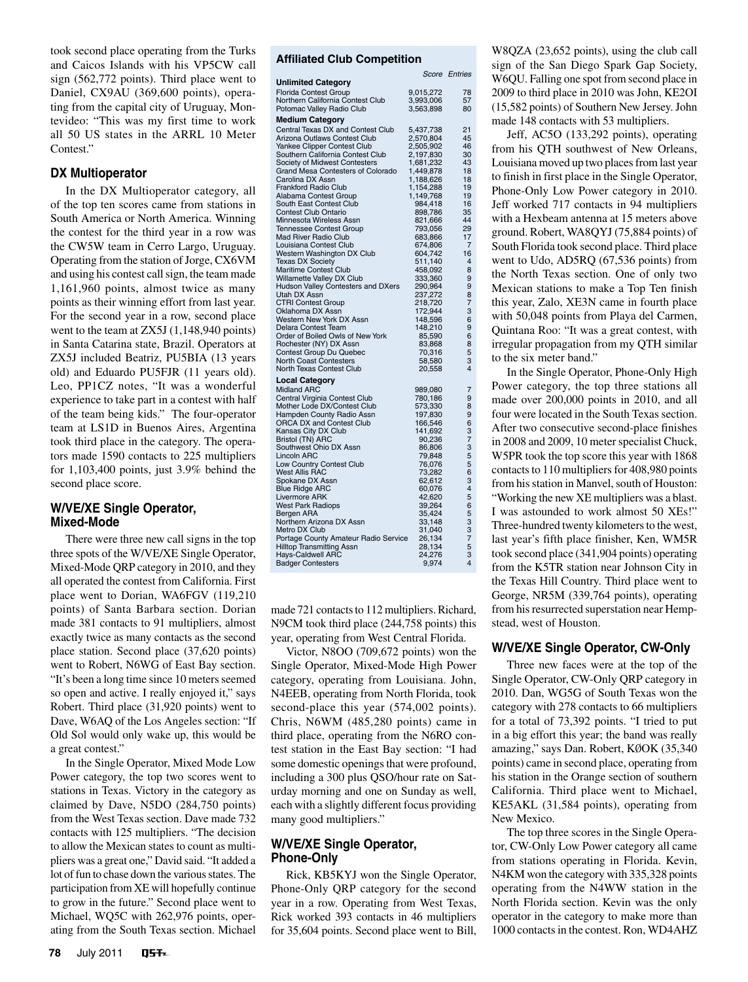took second place operating from the Turks and Caicos Islands with his VP5CW call sign (562,772 points). Third place went to Daniel, CX9AU (369,600 points), operating from the capital city of Uruguay, Montevideo: "This was my first time to work all 50 US states in the ARRL 10 Meter Contest."

# **DX Multioperator**

In the DX Multioperator category, all of the top ten scores came from stations in South America or North America. Winning the contest for the third year in a row was the CW5W team in Cerro Largo, Uruguay. Operating from the station of Jorge, CX6VM and using his contest call sign, the team made 1,161,960 points, almost twice as many points as their winning effort from last year. For the second year in a row, second place went to the team at ZX5J (1,148,940 points) in Santa Catarina state, Brazil. Operators at ZX5J included Beatriz, PU5BIA (13 years old) and Eduardo PU5FJR (11 years old). Leo, PP1CZ notes, "It was a wonderful experience to take part in a contest with half of the team being kids." The four-operator team at LS1D in Buenos Aires, Argentina took third place in the category. The operators made 1590 contacts to 225 multipliers for 1,103,400 points, just 3.9% behind the second place score.

#### **W/VE/XE Single Operator, Mixed-Mode**

There were three new call signs in the top three spots of the W/VE/XE Single Operator, Mixed-Mode QRP category in 2010, and they all operated the contest from California. First place went to Dorian, WA6FGV (119,210 points) of Santa Barbara section. Dorian made 381 contacts to 91 multipliers, almost exactly twice as many contacts as the second place station. Second place (37,620 points) went to Robert, N6WG of East Bay section. "It's been a long time since 10 meters seemed so open and active. I really enjoyed it," says Robert. Third place (31,920 points) went to Dave, W6AQ of the Los Angeles section: "If Old Sol would only wake up, this would be a great contest."

In the Single Operator, Mixed Mode Low Power category, the top two scores went to stations in Texas. Victory in the category as claimed by Dave, N5DO (284,750 points) from the West Texas section. Dave made 732 contacts with 125 multipliers. "The decision to allow the Mexican states to count as multipliers was a great one," David said. "It added a lot of fun to chase down the various states. The participation from XE will hopefully continue to grow in the future." Second place went to Michael, WQ5C with 262,976 points, operating from the South Texas section. Michael

#### **Affiliated Club Competition**

|                                                         | Score              | Entries        |
|---------------------------------------------------------|--------------------|----------------|
| <b>Unlimited Category</b>                               |                    |                |
| <b>Florida Contest Group</b>                            | 9,015,272          | 78             |
| Northern California Contest Club                        | 3,993,006          | 57             |
| Potomac Valley Radio Club                               | 3,563,898          | 80             |
| <b>Medium Category</b>                                  |                    |                |
| Central Texas DX and Contest Club                       | 5,437,738          | 21             |
| Arizona Outlaws Contest Club                            | 2,570,804          | 45             |
| Yankee Clipper Contest Club                             | 2,505,902          | 46             |
| Southern California Contest Club                        | 2,197,830          | 30             |
| Society of Midwest Contesters                           | 1,681,232          | 43             |
| Grand Mesa Contesters of Colorado                       | 1,449,878          | 18             |
| Carolina DX Assn                                        | 1,188,626          | 18             |
| <b>Frankford Radio Club</b>                             | 1,154,288          | 19             |
| Alabama Contest Group                                   | 1,149,768          | 19             |
| South East Contest Club                                 | 984,418            | 16             |
| <b>Contest Club Ontario</b>                             | 898,786            | 35             |
| Minnesota Wireless Assn                                 | 821,666            | 44             |
| <b>Tennessee Contest Group</b>                          | 793,056            | 29             |
| <b>Mad River Radio Club</b>                             | 683,866            | 17             |
| Louisiana Contest Club                                  | 674,806            | 7<br>16        |
| Western Washington DX Club                              | 604,742            | $\overline{4}$ |
| <b>Texas DX Society</b><br><b>Maritime Contest Club</b> | 511,140            | 8              |
| Willamette Valley DX Club                               | 458,092<br>333,360 | 9              |
| <b>Hudson Valley Contesters and DXers</b>               | 290,964            | 9              |
| Utah DX Assn                                            | 237,272            | 8              |
| <b>CTRI Contest Group</b>                               | 218,720            | $\overline{7}$ |
| Oklahoma DX Assn                                        | 172,944            | 3              |
| Western New York DX Assn                                | 148,596            | 6              |
| Delara Contest Team                                     | 148,210            | 9              |
| Order of Boiled Owls of New York                        | 85,590             | 6              |
| Rochester (NY) DX Assn                                  | 83,868             | 8              |
| Contest Group Du Quebec                                 | 70,316             | 5              |
| <b>North Coast Contesters</b>                           | 58,580             | 3              |
| North Texas Contest Club                                | 20,558             | $\overline{4}$ |
| <b>Local Category</b>                                   |                    |                |
| <b>Midland ARC</b>                                      | 989,080            | 7              |
| Central Virginia Contest Club                           | 780,186            | 9              |
| Mother Lode DX/Contest Club                             | 573,330            | 8              |
| Hampden County Radio Assn                               | 197,830            | 9              |
| ORCA DX and Contest Club                                | 166,546            | 6              |
| Kansas City DX Club                                     | 141,692            | 3              |
| Bristol (TN) ARC                                        | 90,236             | 7              |
| Southwest Ohio DX Assn                                  | 86,806             | 3              |
| <b>Lincoln ARC</b>                                      | 79,848             | 5              |
| Low Country Contest Club                                | 76,076             | 5              |
| <b>West Allis RAC</b>                                   | 73,282             | 6              |
| Spokane DX Assn                                         | 62,612             | 3              |
| <b>Blue Ridge ARC</b>                                   | 60,076             | 4<br>5         |
| <b>Livermore ARK</b>                                    | 42,620             | 6              |
| <b>West Park Radiops</b><br>Bergen ARA                  | 39,264<br>35,424   | 5              |
| Northern Arizona DX Assn                                | 33,148             | 3              |
| Metro DX Club                                           | 31,040             | 3              |
| Portage County Amateur Radio Service                    | 26,134             | 7              |
| <b>Hilltop Transmitting Assn</b>                        | 28,134             | 5              |
| <b>Hays-Caldwell ARC</b>                                | 24,276             | 3              |
| <b>Badger Contesters</b>                                | 9.974              | $\overline{4}$ |

made 721 contacts to 112 multipliers. Richard, N9CM took third place (244,758 points) this year, operating from West Central Florida.

Victor, N8OO (709,672 points) won the Single Operator, Mixed-Mode High Power category, operating from Louisiana. John, N4EEB, operating from North Florida, took second-place this year (574,002 points). Chris, N6WM (485,280 points) came in third place, operating from the N6RO contest station in the East Bay section: "I had some domestic openings that were profound, including a 300 plus QSO/hour rate on Saturday morning and one on Sunday as well, each with a slightly different focus providing many good multipliers."

#### **W/VE/XE Single Operator, Phone-Only**

Rick, KB5KYJ won the Single Operator, Phone-Only QRP category for the second year in a row. Operating from West Texas, Rick worked 393 contacts in 46 multipliers for 35,604 points. Second place went to Bill,

W8QZA (23,652 points), using the club call sign of the San Diego Spark Gap Society, W6QU. Falling one spot from second place in 2009 to third place in 2010 was John, KE2OI (15,582 points) of Southern New Jersey. John made 148 contacts with 53 multipliers.

Jeff, AC5O (133,292 points), operating from his QTH southwest of New Orleans, Louisiana moved up two places from last year to finish in first place in the Single Operator, Phone-Only Low Power category in 2010. Jeff worked 717 contacts in 94 multipliers with a Hexbeam antenna at 15 meters above ground. Robert, WA8QYJ (75,884 points) of South Florida took second place. Third place went to Udo, AD5RQ (67,536 points) from the North Texas section. One of only two Mexican stations to make a Top Ten finish this year, Zalo, XE3N came in fourth place with 50,048 points from Playa del Carmen, Quintana Roo: "It was a great contest, with irregular propagation from my QTH similar to the six meter band."

In the Single Operator, Phone-Only High Power category, the top three stations all made over 200,000 points in 2010, and all four were located in the South Texas section. After two consecutive second-place finishes in 2008 and 2009, 10 meter specialist Chuck, W5PR took the top score this year with 1868 contacts to 110 multipliers for 408,980 points from his station in Manvel, south of Houston: "Working the new XE multipliers was a blast. I was astounded to work almost 50 XEs!" Three-hundred twenty kilometers to the west, last year's fifth place finisher, Ken, WM5R took second place (341,904 points) operating from the K5TR station near Johnson City in the Texas Hill Country. Third place went to George, NR5M (339,764 points), operating from his resurrected superstation near Hempstead, west of Houston.

# **W/VE/XE Single Operator, CW-Only**

Three new faces were at the top of the Single Operator, CW-Only QRP category in 2010. Dan, WG5G of South Texas won the category with 278 contacts to 66 multipliers for a total of 73,392 points. "I tried to put in a big effort this year; the band was really amazing," says Dan. Robert, KØOK (35,340 points) came in second place, operating from his station in the Orange section of southern California. Third place went to Michael, KE5AKL (31,584 points), operating from New Mexico.

The top three scores in the Single Operator, CW-Only Low Power category all came from stations operating in Florida. Kevin, N4KM won the category with 335,328 points operating from the N4WW station in the North Florida section. Kevin was the only operator in the category to make more than 1000 contacts in the contest. Ron, WD4AHZ